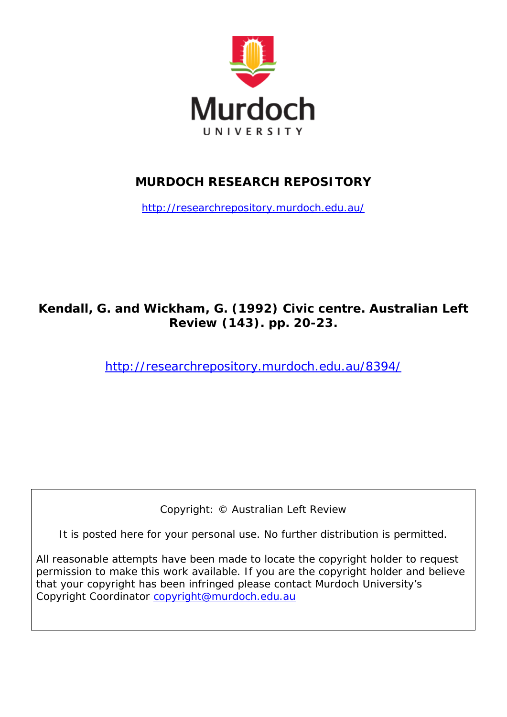

## **MURDOCH RESEARCH REPOSITORY**

<http://researchrepository.murdoch.edu.au/>

## **Kendall, G. and Wickham, G. (1992)** *Civic centre.* **Australian Left Review (143). pp. 20-23.**

<http://researchrepository.murdoch.edu.au/8394/>

Copyright: © Australian Left Review

It is posted here for your personal use. No further distribution is permitted.

All reasonable attempts have been made to locate the copyright holder to request permission to make this work available. If you are the copyright holder and believe that your copyright has been infringed please contact Murdoch University's Copyright Coordinator [copyright@murdoch.edu.au](mailto:copyright@murdoch.edu.au)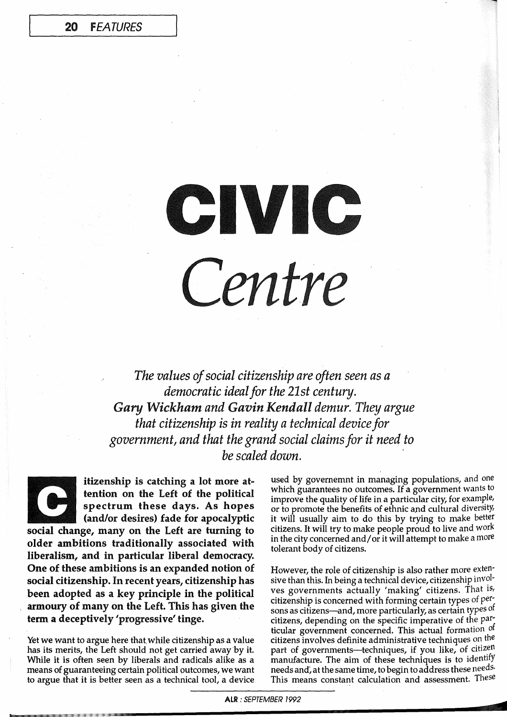## CIVIC Centre

*The values of social citizenship are often seen as a democratic ideal for the 21st century. Gary Wickham and Gavin Kendall demur. They argue that citizenship is in reality a technical device for government, and that the grand social claims for it need to be scaled down. .* 

itizenship is catching a lot more attention on the Left of the political spectrum these days. As hopes (and/or desires) fade for apocalyptic social change, many on the Left are turning to older ambitions traditionally associated with liberalism, and in particular liberal democracy. One of these ambitions is an expanded notion of social citizenship. In recent years, citizenship has been adopted as a key principle in the political armoury of many on the Left. This has given the term a deceptively 'progressive' tinge.

Yet we want to argue here that while citizenship as a value has its merits, the Left should not get carried away'by it. While it is often seen by liberals and radicals alike as a means of guaranteeing certain political putcomes, we want to argue that it is better seen as a technical tool, a device used by governemnt in managing populations, and one which guarantees no outcomes. If a government wants to improve the quality of life in a particular city, for example, or to promote the benefits of ethnic and cultural diversity, it will usually aim to do this by trying to make better citizens. It will try to make people proud to live and work in the city concerned and/ or it will attempt to make a more tolerant body of citizens.

However, the role of citizenship is also rather more extensive than this. In being a technical device, citizenship involves governments actually 'making' citizens. That is, citizenship is concerned with forming certain types of persons as citizens-and, more particularly, as certain types of citizens, depending on the specific imperative of the *pari*  ticular government concerned. This actual formation of citizens involves definite administrative techniques on the part of governments-techniques, if you like, of citizen manufacture. The aim of these techniques is to identify needs and, at the same time, to begin to address these needs. This means constant calculation and assessment. These

**<** 

ALR: SEPTEMBER 1992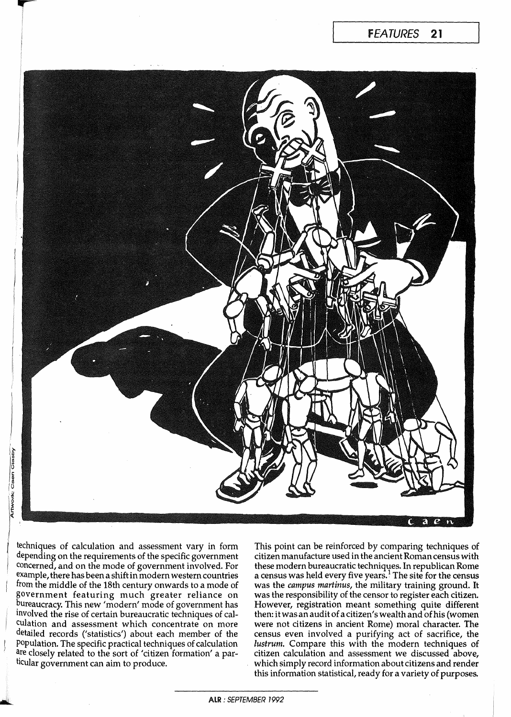

techniques of calculation and assessment vary in form depending on the requirements of the specific government concerned, and on the mode of government involved. For example, there has been a shift in modern western countries from the middle of the 18th century onwards to a mode of government featuring much greater reliance on bureaucracy. This new 'modern' mode of government has Involved the rise of certain. bureaucratic techniques of calcUlation and assessment which concentrate on more detailed records ('statistics') about each member of the population. The specific practical techniques of calculation are closely related to the sort of 'citizen formation' a particular government can aim to produce.

This point can be reinforced by comparing techniques of citizen manufacture used in the ancient Roman census with these modern bureaucratic techniques. In republican Rome a census was held every five years.<sup>1</sup> The site for the census was the *campus martinus,* the military training ground. It was the responsibility of the censor to register each citizen. However, registration meant something quite different then: itwasan audit of a citizen's wealth and of his (women were not citizens in ancient Rome) moral character. The census even involved a purifying act of sacrifice, the *lustrum.* Compare this with the modern techniques of citizen calculation and assessment we discussed above, which simply record information about citizens and render this information statistical, ready for a variety of purposes.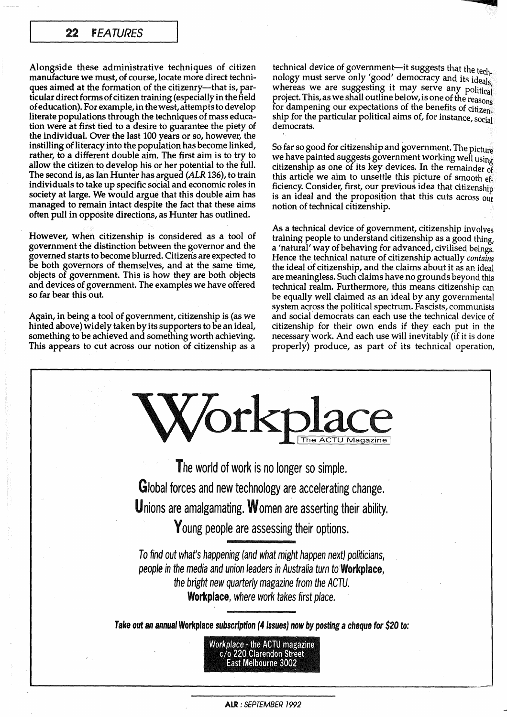## 22 FEATURES

Alongside these administrative techniques of citizen manufacture we must, of course, locate more direct techniques aimed at the formation of the citizenry-that is, particular direct forms of citizen training (especially in the field of education). For example, in the west, attempts to develop literate populations through the techniques of mass education were at first tied to a desire to guarantee the piety of the individual. Over the last 100 years or so, however, the instilling of literacy into the population has become linked, rather, to a different double aim. The first aim is to try to allow the citizen to develop his or her potential to the full. The second is, as Ian Hunter has argued (ALR 136), to train individuals to take up specific social and economic roles in society at large. We would argue that this double aim has managed to remain intact despite the fact that these aims often pull in opposite directions, as Hunter has outlined.

However, when citizenship is considered as a tool of government the distinction between the governor and the governed starts to become blurred. Citizeris are expected to be both governors of themselves, and at the same time, objects of government. This is how they are both objects and devices of government. The examples we have offered so far bear this out.

Again, in being a tool of government, citizenship is (as we hinted above) widely taken by its supporters to be an ideal, something to be achieved and something worth achieving. This appears to cut across our notion of citizenship as a

technical device of government-it suggests that the tech.  $\frac{1}{\sqrt{1+\frac{1}{\sqrt{1+\frac{1}{\sqrt{1+\frac{1}{\sqrt{1+\frac{1}{\sqrt{1+\frac{1}{\sqrt{1+\frac{1}{\sqrt{1+\frac{1}{\sqrt{1+\frac{1}{\sqrt{1+\frac{1}{\sqrt{1+\frac{1}{\sqrt{1+\frac{1}{\sqrt{1+\frac{1}{\sqrt{1+\frac{1}{\sqrt{1+\frac{1}{\sqrt{1+\frac{1}{\sqrt{1+\frac{1}{\sqrt{1+\frac{1}{\sqrt{1+\frac{1}{\sqrt{1+\frac{1}{\sqrt{1+\frac{1}{\sqrt{1+\frac{1}{\sqrt{1+\frac{1}{\sqrt{1+\frac{1}{\sqrt{1+\frac{1$ whereas we are suggesting it may serve any political project. This, as we shall outline below, is one of the reasons for dampening our expectations of the benefits of citizen. ship for the particular political aims of, for instance, social democrats.

c

So far so good for citizenship and government. The picture we have painted suggests government working well using citizenship as one of its key devices. In the remainder of this article we aim to unsettle this picture of smooth efficiency. Consider, first, our previous idea that citizenship is an ideal and the proposition that this cuts across our notion of technical citizenship.

As a technical device of government, citizenship involves training people to understand citizenship as a good thing, a 'natural' way of behaving for advanced, civilised beings. Hence the, technical nature of citizenship actually *contains*  the ideal of citizenship, and the claims about it as an ideal are meaningless. Such claims have no grounds beyond this technical realm. Furthermore, this means citizenship can be equally well claimed as an ideal by any governmental system across the political spectrum. Fascists, communists and social democrats can each use the technical device of citizenship for their own ends if they each put in the, necessary work. And each use will inevitably (if it is done properly) produce, as part of its technical operation,



ALR : *SEPTEMBER 7992*